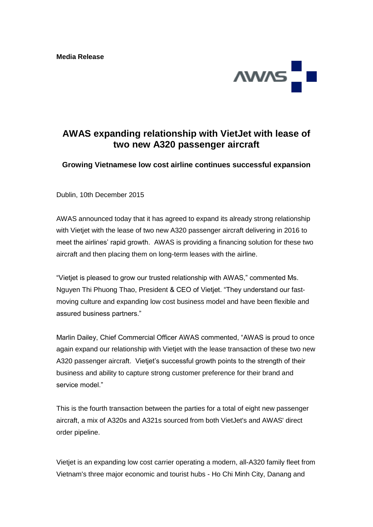

# **AWAS expanding relationship with VietJet with lease of two new A320 passenger aircraft**

## **Growing Vietnamese low cost airline continues successful expansion**

Dublin, 10th December 2015

AWAS announced today that it has agreed to expand its already strong relationship with Vietiet with the lease of two new A320 passenger aircraft delivering in 2016 to meet the airlines' rapid growth. AWAS is providing a financing solution for these two aircraft and then placing them on long-term leases with the airline.

"Vietjet is pleased to grow our trusted relationship with AWAS," commented Ms. Nguyen Thi Phuong Thao, President & CEO of Vietjet. "They understand our fastmoving culture and expanding low cost business model and have been flexible and assured business partners."

Marlin Dailey, Chief Commercial Officer AWAS commented, "AWAS is proud to once again expand our relationship with Vietjet with the lease transaction of these two new A320 passenger aircraft. Vietjet's successful growth points to the strength of their business and ability to capture strong customer preference for their brand and service model."

This is the fourth transaction between the parties for a total of eight new passenger aircraft, a mix of A320s and A321s sourced from both VietJet's and AWAS' direct order pipeline.

Vietiet is an expanding low cost carrier operating a modern, all-A320 family fleet from Vietnam's three major economic and tourist hubs - Ho Chi Minh City, Danang and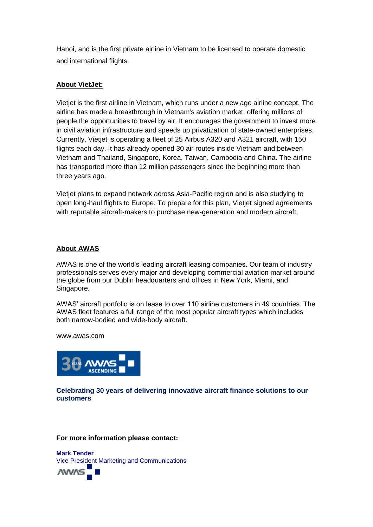Hanoi, and is the first private airline in Vietnam to be licensed to operate domestic and international flights.

# **About VietJet:**

Vietjet is the first airline in Vietnam, which runs under a new age airline concept. The airline has made a breakthrough in Vietnam's aviation market, offering millions of people the opportunities to travel by air. It encourages the government to invest more in civil aviation infrastructure and speeds up privatization of state-owned enterprises. Currently, Vietjet is operating a fleet of 25 Airbus A320 and A321 aircraft, with 150 flights each day. It has already opened 30 air routes inside Vietnam and between Vietnam and Thailand, Singapore, Korea, Taiwan, Cambodia and China. The airline has transported more than 12 million passengers since the beginning more than three years ago.

Vietjet plans to expand network across Asia-Pacific region and is also studying to open long-haul flights to Europe. To prepare for this plan, Vietjet signed agreements with reputable aircraft-makers to purchase new-generation and modern aircraft.

## **About AWAS**

AWAS is one of the world's leading aircraft leasing companies. Our team of industry professionals serves every major and developing commercial aviation market around the globe from our Dublin headquarters and offices in New York, Miami, and Singapore.

AWAS' aircraft portfolio is on lease to over 110 airline customers in 49 countries. The AWAS fleet features a full range of the most popular aircraft types which includes both narrow-bodied and wide-body aircraft.

www.awas.com



**Celebrating 30 years of delivering innovative aircraft finance solutions to our customers**

#### **For more information please contact:**

**Mark Tender** Vice President Marketing and Communications

**AWAS**